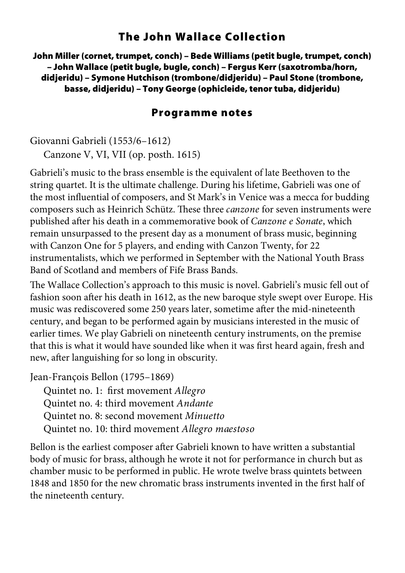## **The John Wallace Collection**

**John Miller (cornet, trumpet, conch) – Bede Williams (petit bugle, trumpet, conch) – John Wallace (petit bugle, bugle, conch) – Fergus Kerr (saxotromba/horn, didjeridu) – Symone Hutchison (trombone/didjeridu) – Paul Stone (trombone, basse, didjeridu) – Tony George (ophicleide, tenor tuba, didjeridu)** 

## **Programme notes**

Giovanni Gabrieli (1553/6–1612) Canzone V, VI, VII (op. posth. 1615)

Gabrieli's music to the brass ensemble is the equivalent of late Beethoven to the string quartet. It is the ultimate challenge. During his lifetime, Gabrieli was one of the most influential of composers, and St Mark's in Venice was a mecca for budding composers such as Heinrich Schütz. These three canzone for seven instruments were published after his death in a commemorative book of Canzone e Sonate, which remain unsurpassed to the present day as a monument of brass music, beginning with Canzon One for 5 players, and ending with Canzon Twenty, for 22 instrumentalists, which we performed in September with the National Youth Brass Band of Scotland and members of Fife Brass Bands.

The Wallace Collection's approach to this music is novel. Gabrieli's music fell out of fashion soon after his death in 1612, as the new baroque style swept over Europe. His music was rediscovered some 250 years later, sometime after the mid-nineteenth century, and began to be performed again by musicians interested in the music of earlier times. We play Gabrieli on nineteenth century instruments, on the premise that this is what it would have sounded like when it was first heard again, fresh and new, after languishing for so long in obscurity.

Jean-François Bellon (1795–1869)

Quintet no. 1: first movement Allegro Quintet no. 4: third movement Andante Quintet no. 8: second movement Minuetto Quintet no. 10: third movement Allegro maestoso

Bellon is the earliest composer after Gabrieli known to have written a substantial body of music for brass, although he wrote it not for performance in church but as chamber music to be performed in public. He wrote twelve brass quintets between 1848 and 1850 for the new chromatic brass instruments invented in the first half of the nineteenth century.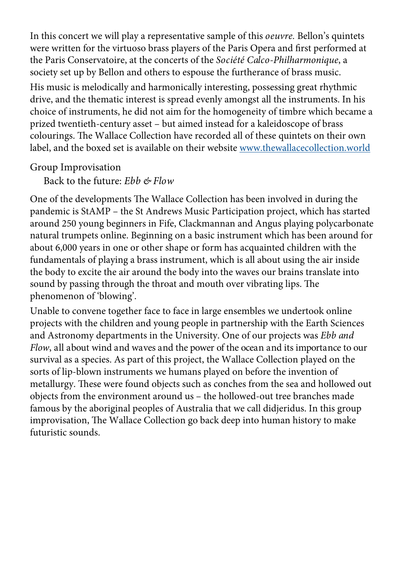In this concert we will play a representative sample of this oeuvre. Bellon's quintets were written for the virtuoso brass players of the Paris Opera and first performed at the Paris Conservatoire, at the concerts of the Société Calco-Philharmonique, a society set up by Bellon and others to espouse the furtherance of brass music. His music is melodically and harmonically interesting, possessing great rhythmic drive, and the thematic interest is spread evenly amongst all the instruments. In his choice of instruments, he did not aim for the homogeneity of timbre which became a prized twentieth-century asset – but aimed instead for a kaleidoscope of brass colourings. The Wallace Collection have recorded all of these quintets on their own label, and the boxed set is available on their website www.thewallacecollection.world

Group Improvisation

Back to the future: Ebb & Flow

One of the developments The Wallace Collection has been involved in during the pandemic is StAMP – the St Andrews Music Participation project, which has started around 250 young beginners in Fife, Clackmannan and Angus playing polycarbonate natural trumpets online. Beginning on a basic instrument which has been around for about 6,000 years in one or other shape or form has acquainted children with the fundamentals of playing a brass instrument, which is all about using the air inside the body to excite the air around the body into the waves our brains translate into sound by passing through the throat and mouth over vibrating lips. The phenomenon of 'blowing'.

Unable to convene together face to face in large ensembles we undertook online projects with the children and young people in partnership with the Earth Sciences and Astronomy departments in the University. One of our projects was Ebb and Flow, all about wind and waves and the power of the ocean and its importance to our survival as a species. As part of this project, the Wallace Collection played on the sorts of lip-blown instruments we humans played on before the invention of metallurgy. These were found objects such as conches from the sea and hollowed out objects from the environment around us – the hollowed-out tree branches made famous by the aboriginal peoples of Australia that we call didjeridus. In this group improvisation, The Wallace Collection go back deep into human history to make futuristic sounds.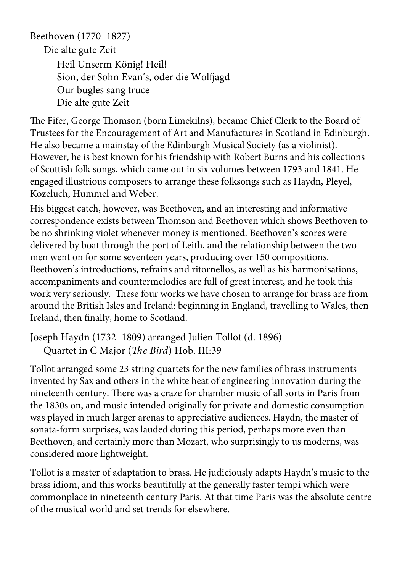Beethoven (1770–1827) Die alte gute Zeit Heil Unserm König! Heil! Sion, der Sohn Evan's, oder die Wolfjagd Our bugles sang truce Die alte gute Zeit

The Fifer, George Thomson (born Limekilns), became Chief Clerk to the Board of Trustees for the Encouragement of Art and Manufactures in Scotland in Edinburgh. He also became a mainstay of the Edinburgh Musical Society (as a violinist). However, he is best known for his friendship with Robert Burns and his collections of Scottish folk songs, which came out in six volumes between 1793 and 1841. He engaged illustrious composers to arrange these folksongs such as Haydn, Pleyel, Kozeluch, Hummel and Weber.

His biggest catch, however, was Beethoven, and an interesting and informative correspondence exists between Thomson and Beethoven which shows Beethoven to be no shrinking violet whenever money is mentioned. Beethoven's scores were delivered by boat through the port of Leith, and the relationship between the two men went on for some seventeen years, producing over 150 compositions. Beethoven's introductions, refrains and ritornellos, as well as his harmonisations, accompaniments and countermelodies are full of great interest, and he took this work very seriously. These four works we have chosen to arrange for brass are from around the British Isles and Ireland: beginning in England, travelling to Wales, then Ireland, then finally, home to Scotland.

Joseph Haydn (1732–1809) arranged Julien Tollot (d. 1896) Quartet in C Major (The Bird) Hob. III:39

Tollot arranged some 23 string quartets for the new families of brass instruments invented by Sax and others in the white heat of engineering innovation during the nineteenth century. There was a craze for chamber music of all sorts in Paris from the 1830s on, and music intended originally for private and domestic consumption was played in much larger arenas to appreciative audiences. Haydn, the master of sonata-form surprises, was lauded during this period, perhaps more even than Beethoven, and certainly more than Mozart, who surprisingly to us moderns, was considered more lightweight.

Tollot is a master of adaptation to brass. He judiciously adapts Haydn's music to the brass idiom, and this works beautifully at the generally faster tempi which were commonplace in nineteenth century Paris. At that time Paris was the absolute centre of the musical world and set trends for elsewhere.